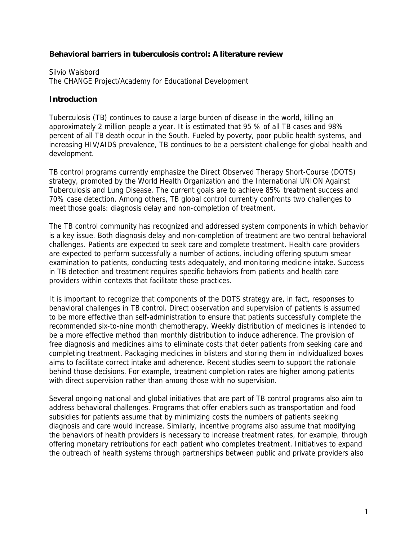#### **Behavioral barriers in tuberculosis control: A literature review**

Silvio Waisbord The CHANGE Project/Academy for Educational Development

### **Introduction**

Tuberculosis (TB) continues to cause a large burden of disease in the world, killing an approximately 2 million people a year. It is estimated that 95 % of all TB cases and 98% percent of all TB death occur in the South. Fueled by poverty, poor public health systems, and increasing HIV/AIDS prevalence, TB continues to be a persistent challenge for global health and development.

TB control programs currently emphasize the Direct Observed Therapy Short-Course (DOTS) strategy, promoted by the World Health Organization and the International UNION Against Tuberculosis and Lung Disease. The current goals are to achieve 85% treatment success and 70% case detection. Among others, TB global control currently confronts two challenges to meet those goals: diagnosis delay and non-completion of treatment.

The TB control community has recognized and addressed system components in which behavior is a key issue. Both diagnosis delay and non-completion of treatment are two central behavioral challenges. Patients are expected to seek care and complete treatment. Health care providers are expected to perform successfully a number of actions, including offering sputum smear examination to patients, conducting tests adequately, and monitoring medicine intake. Success in TB detection and treatment requires specific behaviors from patients and health care providers within contexts that facilitate those practices.

It is important to recognize that components of the DOTS strategy are, in fact, responses to behavioral challenges in TB control. Direct observation and supervision of patients is assumed to be more effective than self-administration to ensure that patients successfully complete the recommended six-to-nine month chemotherapy. Weekly distribution of medicines is intended to be a more effective method than monthly distribution to induce adherence. The provision of free diagnosis and medicines aims to eliminate costs that deter patients from seeking care and completing treatment. Packaging medicines in blisters and storing them in individualized boxes aims to facilitate correct intake and adherence. Recent studies seem to support the rationale behind those decisions. For example, treatment completion rates are higher among patients with direct supervision rather than among those with no supervision.

Several ongoing national and global initiatives that are part of TB control programs also aim to address behavioral challenges. Programs that offer enablers such as transportation and food subsidies for patients assume that by minimizing costs the numbers of patients seeking diagnosis and care would increase. Similarly, incentive programs also assume that modifying the behaviors of health providers is necessary to increase treatment rates, for example, through offering monetary retributions for each patient who completes treatment. Initiatives to expand the outreach of health systems through partnerships between public and private providers also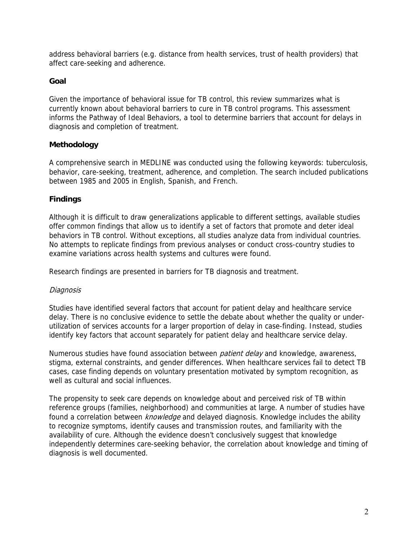address behavioral barriers (e.g. distance from health services, trust of health providers) that affect care-seeking and adherence.

# **Goal**

Given the importance of behavioral issue for TB control, this review summarizes what is currently known about behavioral barriers to cure in TB control programs. This assessment informs the Pathway of Ideal Behaviors, a tool to determine barriers that account for delays in diagnosis and completion of treatment.

# **Methodology**

A comprehensive search in MEDLINE was conducted using the following keywords: tuberculosis, behavior, care-seeking, treatment, adherence, and completion. The search included publications between 1985 and 2005 in English, Spanish, and French.

# **Findings**

Although it is difficult to draw generalizations applicable to different settings, available studies offer common findings that allow us to identify a set of factors that promote and deter ideal behaviors in TB control. Without exceptions, all studies analyze data from individual countries. No attempts to replicate findings from previous analyses or conduct cross-country studies to examine variations across health systems and cultures were found.

Research findings are presented in barriers for TB diagnosis and treatment.

### Diagnosis

Studies have identified several factors that account for patient delay and healthcare service delay. There is no conclusive evidence to settle the debate about whether the quality or underutilization of services accounts for a larger proportion of delay in case-finding. Instead, studies identify key factors that account separately for patient delay and healthcare service delay.

Numerous studies have found association between *patient delay* and knowledge, awareness, stigma, external constraints, and gender differences. When healthcare services fail to detect TB cases, case finding depends on voluntary presentation motivated by symptom recognition, as well as cultural and social influences.

The propensity to seek care depends on knowledge about and perceived risk of TB within reference groups (families, neighborhood) and communities at large. A number of studies have found a correlation between *knowledge* and delayed diagnosis. Knowledge includes the ability to recognize symptoms, identify causes and transmission routes, and familiarity with the availability of cure. Although the evidence doesn't conclusively suggest that knowledge independently determines care-seeking behavior, the correlation about knowledge and timing of diagnosis is well documented.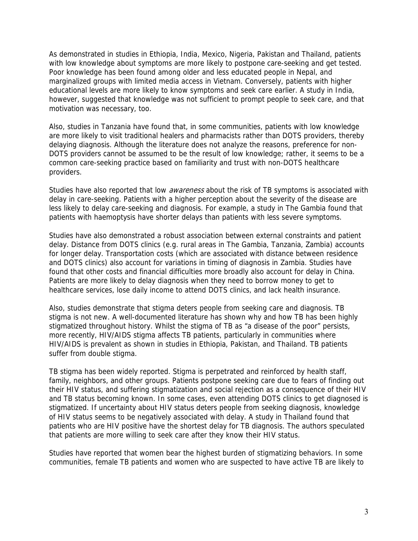As demonstrated in studies in Ethiopia, India, Mexico, Nigeria, Pakistan and Thailand, patients with low knowledge about symptoms are more likely to postpone care-seeking and get tested. Poor knowledge has been found among older and less educated people in Nepal, and marginalized groups with limited media access in Vietnam. Conversely, patients with higher educational levels are more likely to know symptoms and seek care earlier. A study in India, however, suggested that knowledge was not sufficient to prompt people to seek care, and that motivation was necessary, too.

Also, studies in Tanzania have found that, in some communities, patients with low knowledge are more likely to visit traditional healers and pharmacists rather than DOTS providers, thereby delaying diagnosis. Although the literature does not analyze the reasons, preference for non-DOTS providers cannot be assumed to be the result of low knowledge; rather, it seems to be a common care-seeking practice based on familiarity and trust with non-DOTS healthcare providers.

Studies have also reported that low *awareness* about the risk of TB symptoms is associated with delay in care-seeking. Patients with a higher perception about the severity of the disease are less likely to delay care-seeking and diagnosis. For example, a study in The Gambia found that patients with haemoptysis have shorter delays than patients with less severe symptoms.

Studies have also demonstrated a robust association between external constraints and patient delay. Distance from DOTS clinics (e.g. rural areas in The Gambia, Tanzania, Zambia) accounts for longer delay. Transportation costs (which are associated with distance between residence and DOTS clinics) also account for variations in timing of diagnosis in Zambia. Studies have found that other costs and financial difficulties more broadly also account for delay in China. Patients are more likely to delay diagnosis when they need to borrow money to get to healthcare services, lose daily income to attend DOTS clinics, and lack health insurance.

Also, studies demonstrate that stigma deters people from seeking care and diagnosis. TB stigma is not new. A well-documented literature has shown why and how TB has been highly stigmatized throughout history. Whilst the stigma of TB as "a disease of the poor" persists, more recently, HIV/AIDS stigma affects TB patients, particularly in communities where HIV/AIDS is prevalent as shown in studies in Ethiopia, Pakistan, and Thailand. TB patients suffer from double stigma.

TB stigma has been widely reported. Stigma is perpetrated and reinforced by health staff, family, neighbors, and other groups. Patients postpone seeking care due to fears of finding out their HIV status, and suffering stigmatization and social rejection as a consequence of their HIV and TB status becoming known. In some cases, even attending DOTS clinics to get diagnosed is stigmatized. If uncertainty about HIV status deters people from seeking diagnosis, knowledge of HIV status seems to be negatively associated with delay. A study in Thailand found that patients who are HIV positive have the shortest delay for TB diagnosis. The authors speculated that patients are more willing to seek care after they know their HIV status.

Studies have reported that women bear the highest burden of stigmatizing behaviors. In some communities, female TB patients and women who are suspected to have active TB are likely to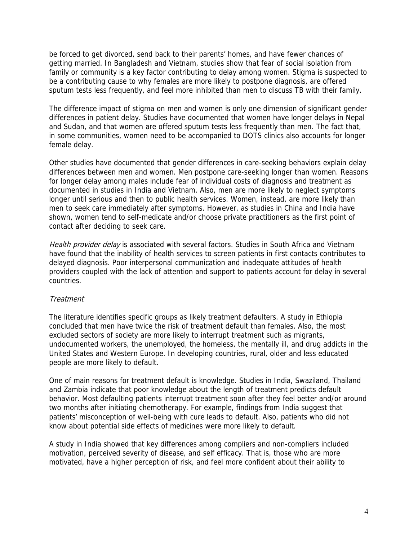be forced to get divorced, send back to their parents' homes, and have fewer chances of getting married. In Bangladesh and Vietnam, studies show that fear of social isolation from family or community is a key factor contributing to delay among women. Stigma is suspected to be a contributing cause to why females are more likely to postpone diagnosis, are offered sputum tests less frequently, and feel more inhibited than men to discuss TB with their family.

The difference impact of stigma on men and women is only one dimension of significant gender differences in patient delay. Studies have documented that women have longer delays in Nepal and Sudan, and that women are offered sputum tests less frequently than men. The fact that, in some communities, women need to be accompanied to DOTS clinics also accounts for longer female delay.

Other studies have documented that gender differences in care-seeking behaviors explain delay differences between men and women. Men postpone care-seeking longer than women. Reasons for longer delay among males include fear of individual costs of diagnosis and treatment as documented in studies in India and Vietnam. Also, men are more likely to neglect symptoms longer until serious and then to public health services. Women, instead, are more likely than men to seek care immediately after symptoms. However, as studies in China and India have shown, women tend to self-medicate and/or choose private practitioners as the first point of contact after deciding to seek care.

Health provider delay is associated with several factors. Studies in South Africa and Vietnam have found that the inability of health services to screen patients in first contacts contributes to delayed diagnosis. Poor interpersonal communication and inadequate attitudes of health providers coupled with the lack of attention and support to patients account for delay in several countries.

### **Treatment**

The literature identifies specific groups as likely treatment defaulters. A study in Ethiopia concluded that men have twice the risk of treatment default than females. Also, the most excluded sectors of society are more likely to interrupt treatment such as migrants, undocumented workers, the unemployed, the homeless, the mentally ill, and drug addicts in the United States and Western Europe. In developing countries, rural, older and less educated people are more likely to default.

One of main reasons for treatment default is knowledge. Studies in India, Swaziland, Thailand and Zambia indicate that poor knowledge about the length of treatment predicts default behavior. Most defaulting patients interrupt treatment soon after they feel better and/or around two months after initiating chemotherapy. For example, findings from India suggest that patients' misconception of well-being with cure leads to default. Also, patients who did not know about potential side effects of medicines were more likely to default.

A study in India showed that key differences among compliers and non-compliers included motivation, perceived severity of disease, and self efficacy. That is, those who are more motivated, have a higher perception of risk, and feel more confident about their ability to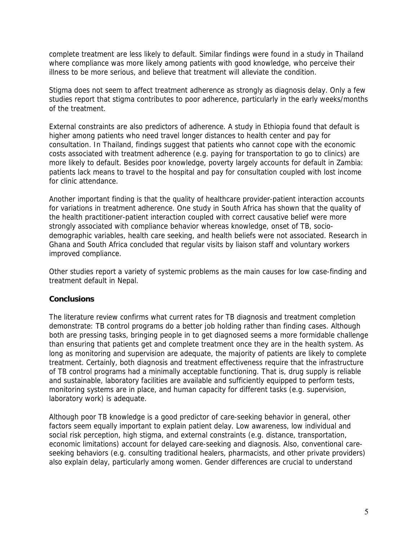complete treatment are less likely to default. Similar findings were found in a study in Thailand where compliance was more likely among patients with good knowledge, who perceive their illness to be more serious, and believe that treatment will alleviate the condition.

Stigma does not seem to affect treatment adherence as strongly as diagnosis delay. Only a few studies report that stigma contributes to poor adherence, particularly in the early weeks/months of the treatment.

External constraints are also predictors of adherence. A study in Ethiopia found that default is higher among patients who need travel longer distances to health center and pay for consultation. In Thailand, findings suggest that patients who cannot cope with the economic costs associated with treatment adherence (e.g. paying for transportation to go to clinics) are more likely to default. Besides poor knowledge, poverty largely accounts for default in Zambia: patients lack means to travel to the hospital and pay for consultation coupled with lost income for clinic attendance.

Another important finding is that the quality of healthcare provider-patient interaction accounts for variations in treatment adherence. One study in South Africa has shown that the quality of the health practitioner-patient interaction coupled with correct causative belief were more strongly associated with compliance behavior whereas knowledge, onset of TB, sociodemographic variables, health care seeking, and health beliefs were not associated. Research in Ghana and South Africa concluded that regular visits by liaison staff and voluntary workers improved compliance.

Other studies report a variety of systemic problems as the main causes for low case-finding and treatment default in Nepal.

### **Conclusions**

The literature review confirms what current rates for TB diagnosis and treatment completion demonstrate: TB control programs do a better job holding rather than finding cases. Although both are pressing tasks, bringing people in to get diagnosed seems a more formidable challenge than ensuring that patients get and complete treatment once they are in the health system. As long as monitoring and supervision are adequate, the majority of patients are likely to complete treatment. Certainly, both diagnosis and treatment effectiveness require that the infrastructure of TB control programs had a minimally acceptable functioning. That is, drug supply is reliable and sustainable, laboratory facilities are available and sufficiently equipped to perform tests, monitoring systems are in place, and human capacity for different tasks (e.g. supervision, laboratory work) is adequate.

Although poor TB knowledge is a good predictor of care-seeking behavior in general, other factors seem equally important to explain patient delay. Low awareness, low individual and social risk perception, high stigma, and external constraints (e.g. distance, transportation, economic limitations) account for delayed care-seeking and diagnosis. Also, conventional careseeking behaviors (e.g. consulting traditional healers, pharmacists, and other private providers) also explain delay, particularly among women. Gender differences are crucial to understand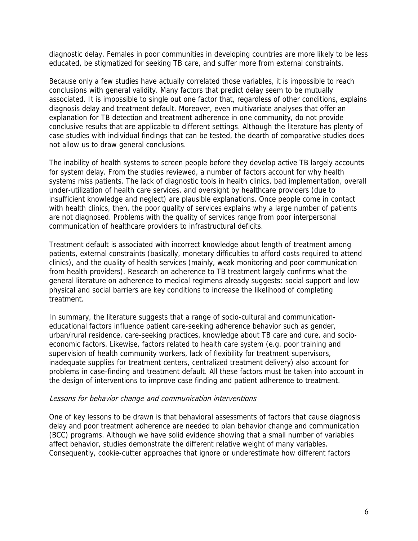diagnostic delay. Females in poor communities in developing countries are more likely to be less educated, be stigmatized for seeking TB care, and suffer more from external constraints.

Because only a few studies have actually correlated those variables, it is impossible to reach conclusions with general validity. Many factors that predict delay seem to be mutually associated. It is impossible to single out one factor that, regardless of other conditions, explains diagnosis delay and treatment default. Moreover, even multivariate analyses that offer an explanation for TB detection and treatment adherence in one community, do not provide conclusive results that are applicable to different settings. Although the literature has plenty of case studies with individual findings that can be tested, the dearth of comparative studies does not allow us to draw general conclusions.

The inability of health systems to screen people before they develop active TB largely accounts for system delay. From the studies reviewed, a number of factors account for why health systems miss patients. The lack of diagnostic tools in health clinics, bad implementation, overall under-utilization of health care services, and oversight by healthcare providers (due to insufficient knowledge and neglect) are plausible explanations. Once people come in contact with health clinics, then, the poor quality of services explains why a large number of patients are not diagnosed. Problems with the quality of services range from poor interpersonal communication of healthcare providers to infrastructural deficits.

Treatment default is associated with incorrect knowledge about length of treatment among patients, external constraints (basically, monetary difficulties to afford costs required to attend clinics), and the quality of health services (mainly, weak monitoring and poor communication from health providers). Research on adherence to TB treatment largely confirms what the general literature on adherence to medical regimens already suggests: social support and low physical and social barriers are key conditions to increase the likelihood of completing treatment.

In summary, the literature suggests that a range of socio-cultural and communicationeducational factors influence patient care-seeking adherence behavior such as gender, urban/rural residence, care-seeking practices, knowledge about TB care and cure, and socioeconomic factors. Likewise, factors related to health care system (e.g. poor training and supervision of health community workers, lack of flexibility for treatment supervisors, inadequate supplies for treatment centers, centralized treatment delivery) also account for problems in case-finding and treatment default. All these factors must be taken into account in the design of interventions to improve case finding and patient adherence to treatment.

#### Lessons for behavior change and communication interventions

One of key lessons to be drawn is that behavioral assessments of factors that cause diagnosis delay and poor treatment adherence are needed to plan behavior change and communication (BCC) programs. Although we have solid evidence showing that a small number of variables affect behavior, studies demonstrate the different relative weight of many variables. Consequently, cookie-cutter approaches that ignore or underestimate how different factors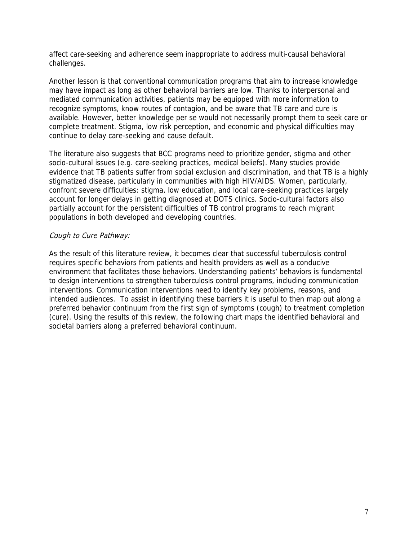affect care-seeking and adherence seem inappropriate to address multi-causal behavioral challenges.

Another lesson is that conventional communication programs that aim to increase knowledge may have impact as long as other behavioral barriers are low. Thanks to interpersonal and mediated communication activities, patients may be equipped with more information to recognize symptoms, know routes of contagion, and be aware that TB care and cure is available. However, better knowledge per se would not necessarily prompt them to seek care or complete treatment. Stigma, low risk perception, and economic and physical difficulties may continue to delay care-seeking and cause default.

The literature also suggests that BCC programs need to prioritize gender, stigma and other socio-cultural issues (e.g. care-seeking practices, medical beliefs). Many studies provide evidence that TB patients suffer from social exclusion and discrimination, and that TB is a highly stigmatized disease, particularly in communities with high HIV/AIDS. Women, particularly, confront severe difficulties: stigma, low education, and local care-seeking practices largely account for longer delays in getting diagnosed at DOTS clinics. Socio-cultural factors also partially account for the persistent difficulties of TB control programs to reach migrant populations in both developed and developing countries.

### Cough to Cure Pathway:

As the result of this literature review, it becomes clear that successful tuberculosis control requires specific behaviors from patients and health providers as well as a conducive environment that facilitates those behaviors. Understanding patients' behaviors is fundamental to design interventions to strengthen tuberculosis control programs, including communication interventions. Communication interventions need to identify key problems, reasons, and intended audiences. To assist in identifying these barriers it is useful to then map out along a preferred behavior continuum from the first sign of symptoms (cough) to treatment completion (cure). Using the results of this review, the following chart maps the identified behavioral and societal barriers along a preferred behavioral continuum.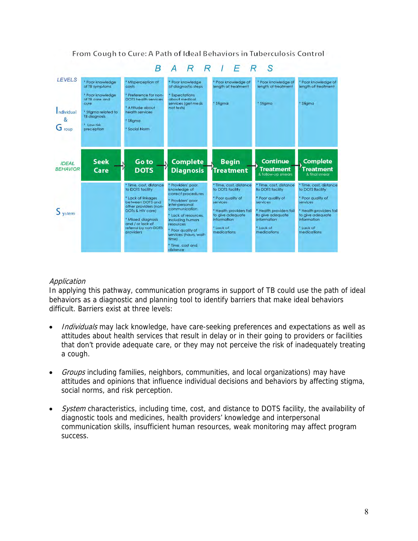

From Cough to Cure: A Path of Ideal Behaviors in Tuberculosis Control

# Application

In applying this pathway, communication programs in support of TB could use the path of ideal behaviors as a diagnostic and planning tool to identify barriers that make ideal behaviors difficult. Barriers exist at three levels:

- Individuals may lack knowledge, have care-seeking preferences and expectations as well as attitudes about health services that result in delay or in their going to providers or facilities that don't provide adequate care, or they may not perceive the risk of inadequately treating a cough.
- Groups including families, neighbors, communities, and local organizations) may have attitudes and opinions that influence individual decisions and behaviors by affecting stigma, social norms, and risk perception.
- System characteristics, including time, cost, and distance to DOTS facility, the availability of diagnostic tools and medicines, health providers' knowledge and interpersonal communication skills, insufficient human resources, weak monitoring may affect program success.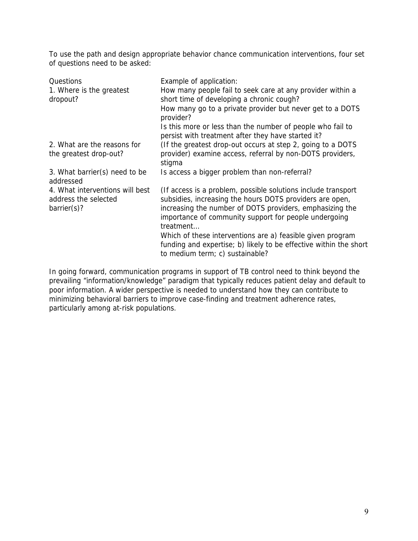To use the path and design appropriate behavior chance communication interventions, four set of questions need to be asked:

| Questions<br>1. Where is the greatest                                  | Example of application:<br>How many people fail to seek care at any provider within a                                                                                                                                                                        |
|------------------------------------------------------------------------|--------------------------------------------------------------------------------------------------------------------------------------------------------------------------------------------------------------------------------------------------------------|
| dropout?                                                               | short time of developing a chronic cough?                                                                                                                                                                                                                    |
|                                                                        | How many go to a private provider but never get to a DOTS<br>provider?                                                                                                                                                                                       |
|                                                                        | Is this more or less than the number of people who fail to<br>persist with treatment after they have started it?                                                                                                                                             |
| 2. What are the reasons for                                            | (If the greatest drop-out occurs at step 2, going to a DOTS                                                                                                                                                                                                  |
| the greatest drop-out?                                                 | provider) examine access, referral by non-DOTS providers,<br>stigma                                                                                                                                                                                          |
| 3. What barrier(s) need to be<br>addressed                             | Is access a bigger problem than non-referral?                                                                                                                                                                                                                |
| 4. What interventions will best<br>address the selected<br>barrier(s)? | (If access is a problem, possible solutions include transport)<br>subsidies, increasing the hours DOTS providers are open,<br>increasing the number of DOTS providers, emphasizing the<br>importance of community support for people undergoing<br>treatment |
|                                                                        | Which of these interventions are a) feasible given program<br>funding and expertise; b) likely to be effective within the short<br>to medium term; c) sustainable?                                                                                           |

In going forward, communication programs in support of TB control need to think beyond the prevailing "information/knowledge" paradigm that typically reduces patient delay and default to poor information. A wider perspective is needed to understand how they can contribute to minimizing behavioral barriers to improve case-finding and treatment adherence rates, particularly among at-risk populations.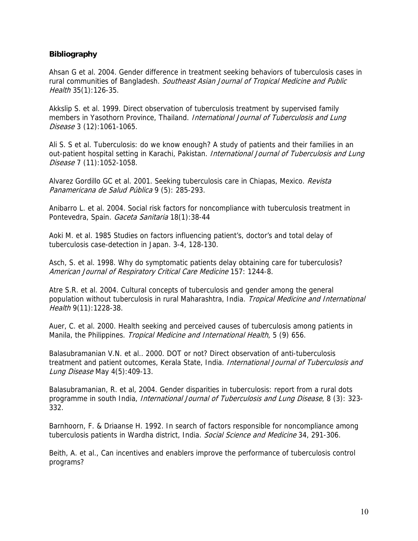### **Bibliography**

Ahsan G et al. 2004. Gender difference in treatment seeking behaviors of tuberculosis cases in rural communities of Bangladesh. Southeast Asian Journal of Tropical Medicine and Public Health 35(1):126-35.

Akkslip S. et al. 1999. Direct observation of tuberculosis treatment by supervised family members in Yasothorn Province, Thailand. International Journal of Tuberculosis and Lung Disease 3 (12):1061-1065.

Ali S. S et al. Tuberculosis: do we know enough? A study of patients and their families in an out-patient hospital setting in Karachi, Pakistan. *International Journal of Tuberculosis and Lung* Disease 7 (11):1052-1058.

Alvarez Gordillo GC et al. 2001. Seeking tuberculosis care in Chiapas, Mexico. Revista Panamericana de Salud Pública 9 (5): 285-293.

Anibarro L. et al. 2004. Social risk factors for noncompliance with tuberculosis treatment in Pontevedra, Spain. Gaceta Sanitaria 18(1):38-44

Aoki M. et al. 1985 Studies on factors influencing patient's, doctor's and total delay of tuberculosis case-detection in Japan. 3-4, 128-130.

Asch, S. et al. 1998. Why do symptomatic patients delay obtaining care for tuberculosis? American Journal of Respiratory Critical Care Medicine 157: 1244-8.

Atre S.R. et al. 2004. Cultural concepts of tuberculosis and gender among the general population without tuberculosis in rural Maharashtra, India. Tropical Medicine and International Health 9(11):1228-38.

Auer, C. et al. 2000. Health seeking and perceived causes of tuberculosis among patients in Manila, the Philippines. Tropical Medicine and International Health, 5 (9) 656.

Balasubramanian V.N. et al.. 2000. DOT or not? Direct observation of anti-tuberculosis treatment and patient outcomes, Kerala State, India. International Journal of Tuberculosis and Lung Disease May 4(5):409-13.

Balasubramanian, R. et al, 2004. Gender disparities in tuberculosis: report from a rural dots programme in south India, International Journal of Tuberculosis and Lung Disease, 8 (3): 323- 332.

Barnhoorn, F. & Driaanse H. 1992. In search of factors responsible for noncompliance among tuberculosis patients in Wardha district, India. Social Science and Medicine 34, 291-306.

Beith, A. et al., Can incentives and enablers improve the performance of tuberculosis control programs?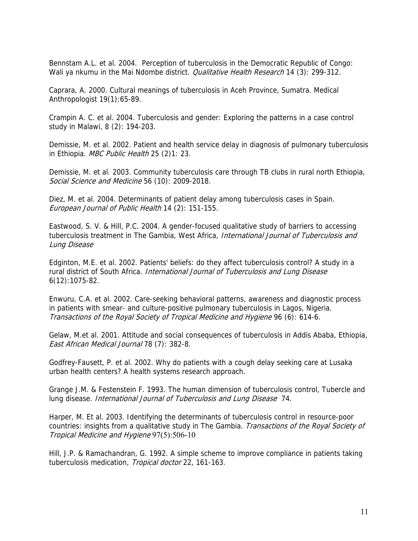Bennstam A.L. et al. 2004. Perception of tuberculosis in the Democratic Republic of Congo: Wali ya nkumu in the Mai Ndombe district. *Qualitative Health Research* 14 (3): 299-312.

Caprara, A. 2000. Cultural meanings of tuberculosis in Aceh Province, Sumatra. Medical Anthropologist 19(1):65-89.

Crampin A. C. et al. 2004. Tuberculosis and gender: Exploring the patterns in a case control study in Malawi, 8 (2): 194-203.

Demissie, M. et al. 2002. Patient and health service delay in diagnosis of pulmonary tuberculosis in Ethiopia. MBC Public Health 25 (2)1: 23.

Demissie, M. et al. 2003. Community tuberculosis care through TB clubs in rural north Ethiopia, Social Science and Medicine 56 (10): 2009-2018.

Diez, M. et al. 2004. Determinants of patient delay among tuberculosis cases in Spain. European Journal of Public Health 14 (2): 151-155.

Eastwood, S. V. & Hill, P.C. 2004. A gender-focused qualitative study of barriers to accessing tuberculosis treatment in The Gambia, West Africa, International Journal of Tuberculosis and Lung Disease

rural district of South Africa. International Journal of Tuberculosis and Lung Disease Edginton, M.E. et al. 2002. Patients' beliefs: do they affect tuberculosis control? A study in a 6(12):1075-82.

Enwuru, C.A. et al. 2002. Care-seeking behavioral patterns, awareness and diagnostic process in patients with smear- and culture-positive pulmonary tuberculosis in Lagos, Nigeria. Transactions of the Royal Society of Tropical Medicine and Hygiene 96 (6): 614-6.

Gelaw, M.et al. 2001. Attitude and social consequences of tuberculosis in Addis Ababa, Ethiopia, East African Medical Journal 78 (7): 382-8.

Godfrey-Fausett, P. et al. 2002. Why do patients with a cough delay seeking care at Lusaka urban health centers? A health systems research approach.

Grange J.M. & Festenstein F. 1993. The human dimension of tuberculosis control, Tubercle and lung disease. International Journal of Tuberculosis and Lung Disease 74.

countries: insights from a qualitative study in The Gambia. Transactions of the Royal Society of Harper, M. Et al. 2003. Identifying the determinants of tuberculosis control in resource-poor Tropical Medicine and Hygiene 97(5):506-10

tuberculosis medication, Tropical doctor 22, 161-163. Hill, J.P. & Ramachandran, G. 1992. A simple scheme to improve compliance in patients taking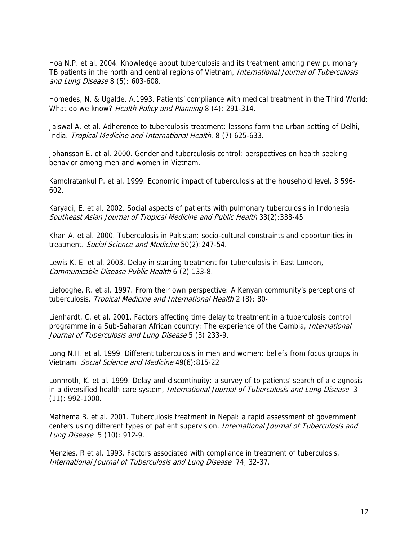Hoa N.P. et al. 2004. Knowledge about tuberculosis and its treatment among new pulmonary TB patients in the north and central regions of Vietnam, International Journal of Tuberculosis and Lung Disease 8 (5): 603-608.

Homedes, N. & Ugalde, A.1993. Patients' compliance with medical treatment in the Third World: What do we know? Health Policy and Planning 8 (4): 291-314.

Jaiswal A. et al. Adherence to tuberculosis treatment: lessons form the urban setting of Delhi, India. Tropical Medicine and International Health, 8 (7) 625-633.

Johansson E. et al. 2000. Gender and tuberculosis control: perspectives on health seeking behavior among men and women in Vietnam.

Kamolratankul P. et al. 1999. Economic impact of tuberculosis at the household level, 3 596- 602.

Karyadi, E. et al. 2002. Social aspects of patients with pulmonary tuberculosis in Indonesia Southeast Asian Journal of Tropical Medicine and Public Health 33(2):338-45

Khan A. et al. 2000. Tuberculosis in Pakistan: socio-cultural constraints and opportunities in treatment. Social Science and Medicine 50(2):247-54.

Lewis K. E. et al. 2003. Delay in starting treatment for tuberculosis in East London, Communicable Disease Public Health 6 (2) 133-8.

Liefooghe, R. et al. 1997. From their own perspective: A Kenyan community's perceptions of tuberculosis. Tropical Medicine and International Health 2 (8): 80-

Lienhardt, C. et al. 2001. Factors affecting time delay to treatment in a tuberculosis control programme in a Sub-Saharan African country: The experience of the Gambia, International Journal of Tuberculosis and Lung Disease 5 (3) 233-9.

Long N.H. et al. 1999. Different tuberculosis in men and women: beliefs from focus groups in Vietnam. Social Science and Medicine 49(6):815-22

Lonnroth, K. et al. 1999. Delay and discontinuity: a survey of tb patients' search of a diagnosis in a diversified health care system, International Journal of Tuberculosis and Lung Disease 3 (11): 992-1000.

Mathema B. et al. 2001. Tuberculosis treatment in Nepal: a rapid assessment of government centers using different types of patient supervision. International Journal of Tuberculosis and Lung Disease 5 (10): 912-9.

Menzies, R et al. 1993. Factors associated with compliance in treatment of tuberculosis, International Journal of Tuberculosis and Lung Disease 74, 32-37.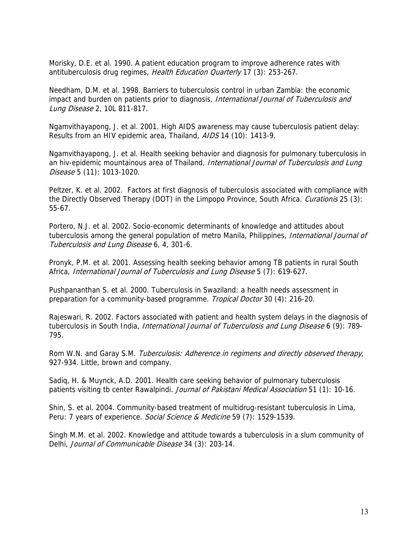Morisky, D.E. et al. 1990. A patient education program to improve adherence rates with antituberculosis drug regimes, Health Education Quarterly 17 (3): 253-267.

Needham, D.M. et al. 1998. Barriers to tuberculosis control in urban Zambia: the economic impact and burden on patients prior to diagnosis, International Journal of Tuberculosis and Lung Disease 2, 10L 811-817.

Ngamvithayapong, J. et al. 2001. High AIDS awareness may cause tuberculosis patient delay: Results from an HIV epidemic area, Thailand, AIDS 14 (10): 1413-9.

Ngamvithayapong, J. et al. Health seeking behavior and diagnosis for pulmonary tuberculosis in an hiv-epidemic mountainous area of Thailand, International Journal of Tuberculosis and Lung Disease 5 (11): 1013-1020.

Peltzer, K. et al. 2002. Factors at first diagnosis of tuberculosis associated with compliance with the Directly Observed Therapy (DOT) in the Limpopo Province, South Africa. Curationis 25 (3): 55-67.

Portero, N.J. et al. 2002. Socio-economic determinants of knowledge and attitudes about tuberculosis among the general population of metro Manila, Philippines, *International Journal of* Tuberculosis and Lung Disease 6, 4, 301-6.

Pronyk, P.M. et al. 2001. Assessing health seeking behavior among TB patients in rural South Africa, International Journal of Tuberculosis and Lung Disease 5 (7): 619-627.

Pushpananthan S. et al. 2000. Tuberculosis in Swaziland: a health needs assessment in preparation for a community-based programme. Tropical Doctor 30 (4): 216-20.

Rajeswari, R. 2002. Factors associated with patient and health system delays in the diagnosis of tuberculosis in South India, International Journal of Tuberculosis and Lung Disease 6 (9): 789-795.

Rom W.N. and Garay S.M. Tuberculosis: Adherence in regimens and directly observed therapy, 927-934. Little, brown and company.

Sadiq, H. & Muynck, A.D. 2001. Health care seeking behavior of pulmonary tuberculosis patients visiting tb center Rawalpindi. Journal of Pakistani Medical Association 51 (1): 10-16.

Shin, S. et al. 2004. Community-based treatment of multidrug-resistant tuberculosis in Lima, Peru: 7 years of experience. Social Science & Medicine 59 (7): 1529-1539.

Singh M.M. et al. 2002. Knowledge and attitude towards a tuberculosis in a slum community of Delhi, Journal of Communicable Disease 34 (3): 203-14.